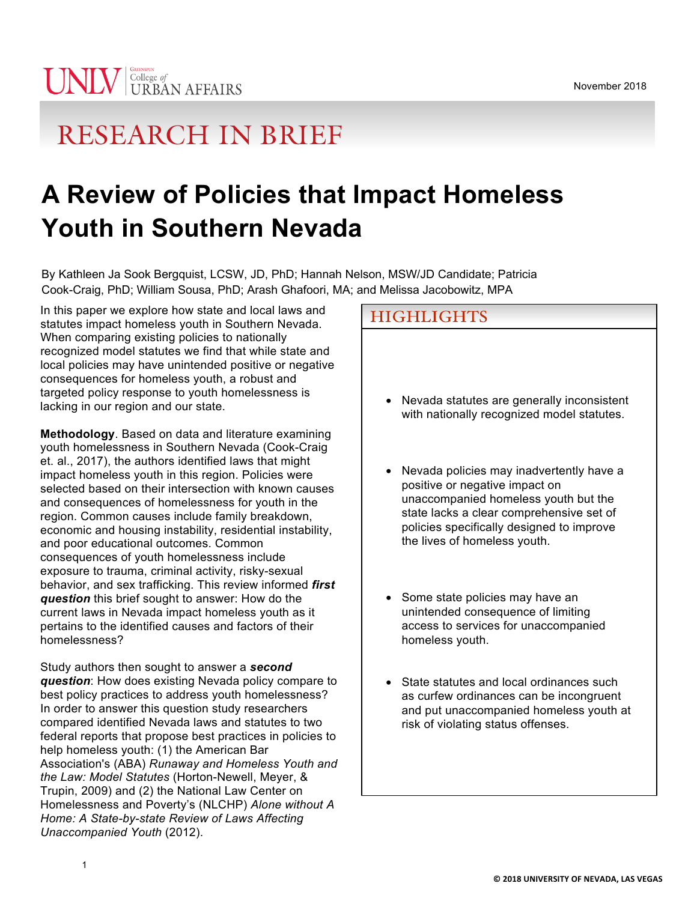# RESEARCH IN BRIEF

# **A Review of Policies that Impact Homeless Youth in Southern Nevada**

By Kathleen Ja Sook Bergquist, LCSW, JD, PhD; Hannah Nelson, MSW/JD Candidate; Patricia Cook-Craig, PhD; William Sousa, PhD; Arash Ghafoori, MA; and Melissa Jacobowitz, MPA

In this paper we explore how state and local laws and statutes impact homeless youth in Southern Nevada. When comparing existing policies to nationally recognized model statutes we find that while state and local policies may have unintended positive or negative consequences for homeless youth, a robust and targeted policy response to youth homelessness is lacking in our region and our state.

**Methodology**. Based on data and literature examining youth homelessness in Southern Nevada (Cook-Craig et. al., 2017), the authors identified laws that might impact homeless youth in this region. Policies were selected based on their intersection with known causes and consequences of homelessness for youth in the region. Common causes include family breakdown, economic and housing instability, residential instability, and poor educational outcomes. Common consequences of youth homelessness include exposure to trauma, criminal activity, risky-sexual behavior, and sex trafficking. This review informed *first question* this brief sought to answer: How do the current laws in Nevada impact homeless youth as it pertains to the identified causes and factors of their homelessness?

Study authors then sought to answer a *second question*: How does existing Nevada policy compare to best policy practices to address youth homelessness? In order to answer this question study researchers compared identified Nevada laws and statutes to two federal reports that propose best practices in policies to help homeless youth: (1) the American Bar Association's (ABA) *Runaway and Homeless Youth and the Law: Model Statutes* (Horton-Newell, Meyer, & Trupin, 2009) and (2) the National Law Center on Homelessness and Poverty's (NLCHP) *Alone without A Home: A State-by-state Review of Laws Affecting Unaccompanied Youth* (2012).

# **HIGHLIGHTS**

- Nevada statutes are generally inconsistent with nationally recognized model statutes.
- Nevada policies may inadvertently have a positive or negative impact on unaccompanied homeless youth but the state lacks a clear comprehensive set of policies specifically designed to improve the lives of homeless youth.
- Some state policies may have an unintended consequence of limiting access to services for unaccompanied homeless youth.
- State statutes and local ordinances such as curfew ordinances can be incongruent and put unaccompanied homeless youth at risk of violating status offenses.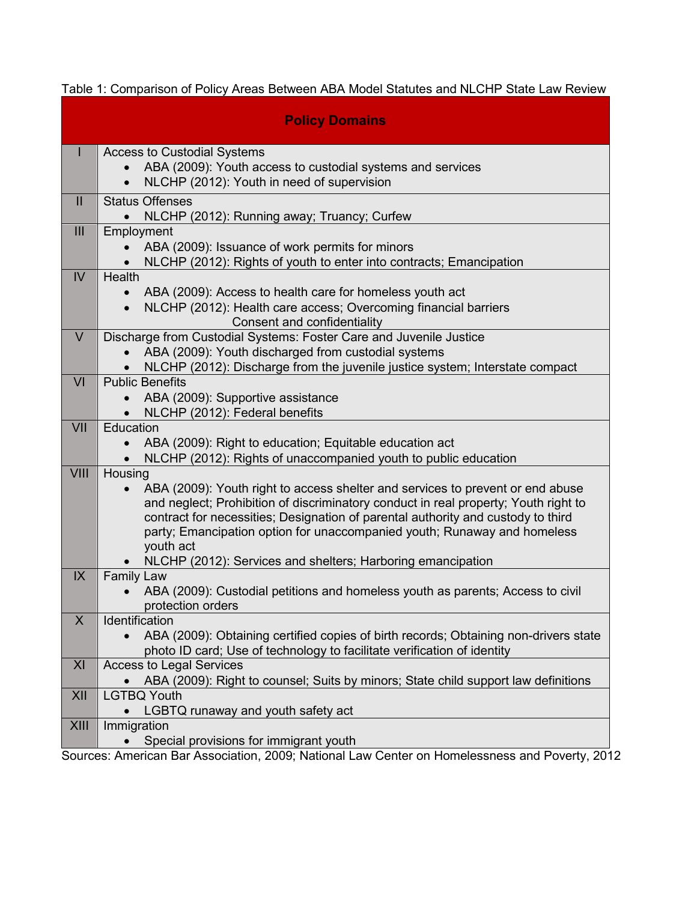| <b>Policy Domains</b> |                                                                                                       |
|-----------------------|-------------------------------------------------------------------------------------------------------|
| L                     | <b>Access to Custodial Systems</b>                                                                    |
|                       | ABA (2009): Youth access to custodial systems and services                                            |
|                       | NLCHP (2012): Youth in need of supervision                                                            |
| $\mathbf{II}$         | <b>Status Offenses</b>                                                                                |
|                       | NLCHP (2012): Running away; Truancy; Curfew                                                           |
| III                   | Employment                                                                                            |
|                       | ABA (2009): Issuance of work permits for minors                                                       |
|                       | NLCHP (2012): Rights of youth to enter into contracts; Emancipation                                   |
| $\overline{V}$        | Health                                                                                                |
|                       | ABA (2009): Access to health care for homeless youth act                                              |
|                       | NLCHP (2012): Health care access; Overcoming financial barriers                                       |
| $\vee$                | Consent and confidentiality<br>Discharge from Custodial Systems: Foster Care and Juvenile Justice     |
|                       | ABA (2009): Youth discharged from custodial systems                                                   |
|                       | NLCHP (2012): Discharge from the juvenile justice system; Interstate compact                          |
| VI                    | <b>Public Benefits</b>                                                                                |
|                       | ABA (2009): Supportive assistance                                                                     |
|                       | NLCHP (2012): Federal benefits                                                                        |
| VII                   | Education                                                                                             |
|                       | ABA (2009): Right to education; Equitable education act                                               |
|                       | NLCHP (2012): Rights of unaccompanied youth to public education                                       |
| VIII                  | Housing                                                                                               |
|                       | ABA (2009): Youth right to access shelter and services to prevent or end abuse                        |
|                       | and neglect; Prohibition of discriminatory conduct in real property; Youth right to                   |
|                       | contract for necessities; Designation of parental authority and custody to third                      |
|                       | party; Emancipation option for unaccompanied youth; Runaway and homeless                              |
|                       | youth act                                                                                             |
| IX                    | NLCHP (2012): Services and shelters; Harboring emancipation<br><b>Family Law</b>                      |
|                       | ABA (2009): Custodial petitions and homeless youth as parents; Access to civil                        |
|                       | protection orders                                                                                     |
| X                     | Identification                                                                                        |
|                       | ABA (2009): Obtaining certified copies of birth records; Obtaining non-drivers state                  |
|                       | photo ID card; Use of technology to facilitate verification of identity                               |
| XI                    | <b>Access to Legal Services</b>                                                                       |
|                       | ABA (2009): Right to counsel; Suits by minors; State child support law definitions                    |
| XII                   | <b>LGTBQ Youth</b>                                                                                    |
|                       | LGBTQ runaway and youth safety act                                                                    |
| XIII                  | Immigration                                                                                           |
|                       | Special provisions for immigrant youth<br>n 2000: National Law Center on Hemalecenese and Deverty 200 |

Table 1: Comparison of Policy Areas Between ABA Model Statutes and NLCHP State Law Review

Sources: American Bar Association, 2009; National Law Center on Homelessness and Poverty, 2012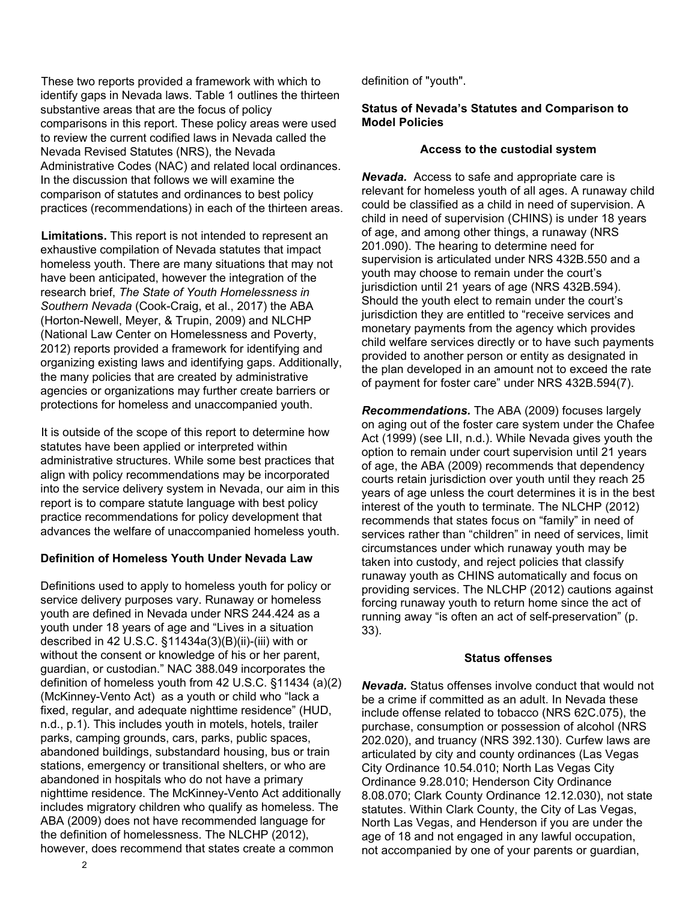These two reports provided a framework with which to identify gaps in Nevada laws. Table 1 outlines the thirteen substantive areas that are the focus of policy comparisons in this report. These policy areas were used to review the current codified laws in Nevada called the Nevada Revised Statutes (NRS), the Nevada Administrative Codes (NAC) and related local ordinances. In the discussion that follows we will examine the comparison of statutes and ordinances to best policy practices (recommendations) in each of the thirteen areas.

**Limitations.** This report is not intended to represent an exhaustive compilation of Nevada statutes that impact homeless youth. There are many situations that may not have been anticipated, however the integration of the research brief, *The State of Youth Homelessness in Southern Nevada* (Cook-Craig, et al., 2017) the ABA (Horton-Newell, Meyer, & Trupin, 2009) and NLCHP (National Law Center on Homelessness and Poverty, 2012) reports provided a framework for identifying and organizing existing laws and identifying gaps. Additionally, the many policies that are created by administrative agencies or organizations may further create barriers or protections for homeless and unaccompanied youth.

It is outside of the scope of this report to determine how statutes have been applied or interpreted within administrative structures. While some best practices that align with policy recommendations may be incorporated into the service delivery system in Nevada, our aim in this report is to compare statute language with best policy practice recommendations for policy development that advances the welfare of unaccompanied homeless youth.

# **Definition of Homeless Youth Under Nevada Law**

Definitions used to apply to homeless youth for policy or service delivery purposes vary. Runaway or homeless youth are defined in Nevada under NRS 244.424 as a youth under 18 years of age and "Lives in a situation described in 42 U.S.C. §11434a(3)(B)(ii)-(iii) with or without the consent or knowledge of his or her parent, guardian, or custodian." NAC 388.049 incorporates the definition of homeless youth from 42 U.S.C. §11434 (a)(2) (McKinney-Vento Act) as a youth or child who "lack a fixed, regular, and adequate nighttime residence" (HUD, n.d., p.1). This includes youth in motels, hotels, trailer parks, camping grounds, cars, parks, public spaces, abandoned buildings, substandard housing, bus or train stations, emergency or transitional shelters, or who are abandoned in hospitals who do not have a primary nighttime residence. The McKinney-Vento Act additionally includes migratory children who qualify as homeless. The ABA (2009) does not have recommended language for the definition of homelessness. The NLCHP (2012), however, does recommend that states create a common

definition of "youth".

# **Status of Nevada's Statutes and Comparison to Model Policies**

## **Access to the custodial system**

*Nevada.* Access to safe and appropriate care is relevant for homeless youth of all ages. A runaway child could be classified as a child in need of supervision. A child in need of supervision (CHINS) is under 18 years of age, and among other things, a runaway (NRS 201.090). The hearing to determine need for supervision is articulated under NRS 432B.550 and a youth may choose to remain under the court's jurisdiction until 21 years of age (NRS 432B.594). Should the youth elect to remain under the court's jurisdiction they are entitled to "receive services and monetary payments from the agency which provides child welfare services directly or to have such payments provided to another person or entity as designated in the plan developed in an amount not to exceed the rate of payment for foster care" under NRS 432B.594(7).

*Recommendations.* The ABA (2009) focuses largely on aging out of the foster care system under the Chafee Act (1999) (see LII, n.d.). While Nevada gives youth the option to remain under court supervision until 21 years of age, the ABA (2009) recommends that dependency courts retain jurisdiction over youth until they reach 25 years of age unless the court determines it is in the best interest of the youth to terminate. The NLCHP (2012) recommends that states focus on "family" in need of services rather than "children" in need of services, limit circumstances under which runaway youth may be taken into custody, and reject policies that classify runaway youth as CHINS automatically and focus on providing services. The NLCHP (2012) cautions against forcing runaway youth to return home since the act of running away "is often an act of self-preservation" (p. 33).

# **Status offenses**

*Nevada.* Status offenses involve conduct that would not be a crime if committed as an adult. In Nevada these include offense related to tobacco (NRS 62C.075), the purchase, consumption or possession of alcohol (NRS 202.020), and truancy (NRS 392.130). Curfew laws are articulated by city and county ordinances (Las Vegas City Ordinance 10.54.010; North Las Vegas City Ordinance 9.28.010; Henderson City Ordinance 8.08.070; Clark County Ordinance 12.12.030), not state statutes. Within Clark County, the City of Las Vegas, North Las Vegas, and Henderson if you are under the age of 18 and not engaged in any lawful occupation, not accompanied by one of your parents or guardian,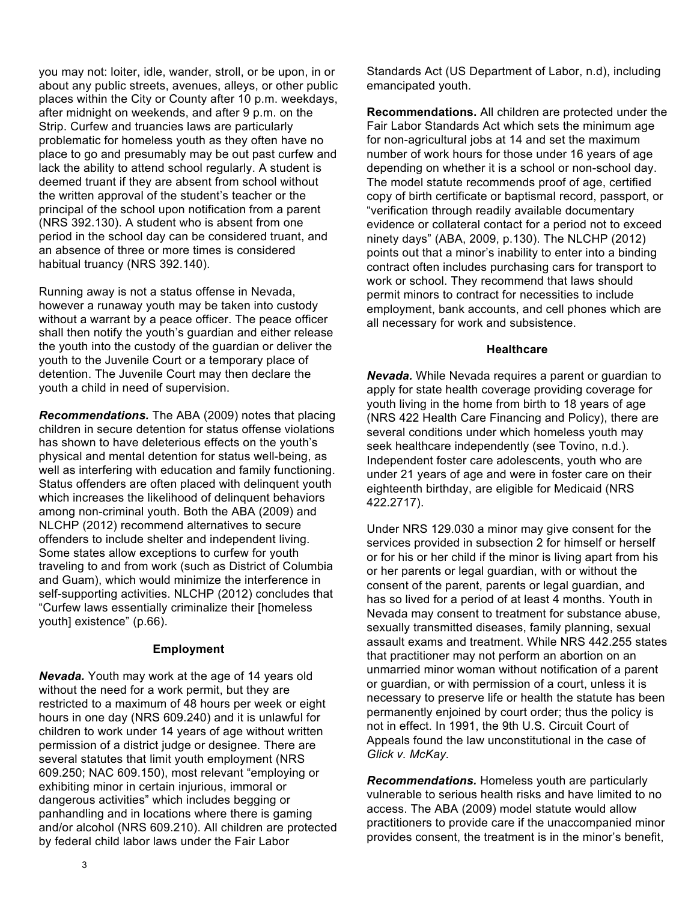you may not: loiter, idle, wander, stroll, or be upon, in or about any public streets, avenues, alleys, or other public places within the City or County after 10 p.m. weekdays, after midnight on weekends, and after 9 p.m. on the Strip. Curfew and truancies laws are particularly problematic for homeless youth as they often have no place to go and presumably may be out past curfew and lack the ability to attend school regularly. A student is deemed truant if they are absent from school without the written approval of the student's teacher or the principal of the school upon notification from a parent (NRS 392.130). A student who is absent from one period in the school day can be considered truant, and an absence of three or more times is considered habitual truancy (NRS 392.140).

Running away is not a status offense in Nevada, however a runaway youth may be taken into custody without a warrant by a peace officer. The peace officer shall then notify the youth's guardian and either release the youth into the custody of the guardian or deliver the youth to the Juvenile Court or a temporary place of detention. The Juvenile Court may then declare the youth a child in need of supervision.

*Recommendations.* The ABA (2009) notes that placing children in secure detention for status offense violations has shown to have deleterious effects on the youth's physical and mental detention for status well-being, as well as interfering with education and family functioning. Status offenders are often placed with delinquent youth which increases the likelihood of delinquent behaviors among non-criminal youth. Both the ABA (2009) and NLCHP (2012) recommend alternatives to secure offenders to include shelter and independent living. Some states allow exceptions to curfew for youth traveling to and from work (such as District of Columbia and Guam), which would minimize the interference in self-supporting activities. NLCHP (2012) concludes that "Curfew laws essentially criminalize their [homeless youth] existence" (p.66).

#### **Employment**

*Nevada.* Youth may work at the age of 14 years old without the need for a work permit, but they are restricted to a maximum of 48 hours per week or eight hours in one day (NRS 609.240) and it is unlawful for children to work under 14 years of age without written permission of a district judge or designee. There are several statutes that limit youth employment (NRS 609.250; NAC 609.150), most relevant "employing or exhibiting minor in certain injurious, immoral or dangerous activities" which includes begging or panhandling and in locations where there is gaming and/or alcohol (NRS 609.210). All children are protected by federal child labor laws under the Fair Labor

Standards Act (US Department of Labor, n.d), including emancipated youth.

**Recommendations.** All children are protected under the Fair Labor Standards Act which sets the minimum age for non-agricultural jobs at 14 and set the maximum number of work hours for those under 16 years of age depending on whether it is a school or non-school day. The model statute recommends proof of age, certified copy of birth certificate or baptismal record, passport, or "verification through readily available documentary evidence or collateral contact for a period not to exceed ninety days" (ABA, 2009, p.130). The NLCHP (2012) points out that a minor's inability to enter into a binding contract often includes purchasing cars for transport to work or school. They recommend that laws should permit minors to contract for necessities to include employment, bank accounts, and cell phones which are all necessary for work and subsistence.

#### **Healthcare**

*Nevada.* While Nevada requires a parent or guardian to apply for state health coverage providing coverage for youth living in the home from birth to 18 years of age (NRS 422 Health Care Financing and Policy), there are several conditions under which homeless youth may seek healthcare independently (see Tovino, n.d.). Independent foster care adolescents, youth who are under 21 years of age and were in foster care on their eighteenth birthday, are eligible for Medicaid (NRS 422.2717).

Under NRS 129.030 a minor may give consent for the services provided in subsection 2 for himself or herself or for his or her child if the minor is living apart from his or her parents or legal guardian, with or without the consent of the parent, parents or legal guardian, and has so lived for a period of at least 4 months. Youth in Nevada may consent to treatment for substance abuse, sexually transmitted diseases, family planning, sexual assault exams and treatment. While NRS 442.255 states that practitioner may not perform an abortion on an unmarried minor woman without notification of a parent or guardian, or with permission of a court, unless it is necessary to preserve life or health the statute has been permanently enjoined by court order; thus the policy is not in effect. In 1991, the 9th U.S. Circuit Court of Appeals found the law unconstitutional in the case of *Glick v. McKay.*

*Recommendations.* Homeless youth are particularly vulnerable to serious health risks and have limited to no access. The ABA (2009) model statute would allow practitioners to provide care if the unaccompanied minor provides consent, the treatment is in the minor's benefit,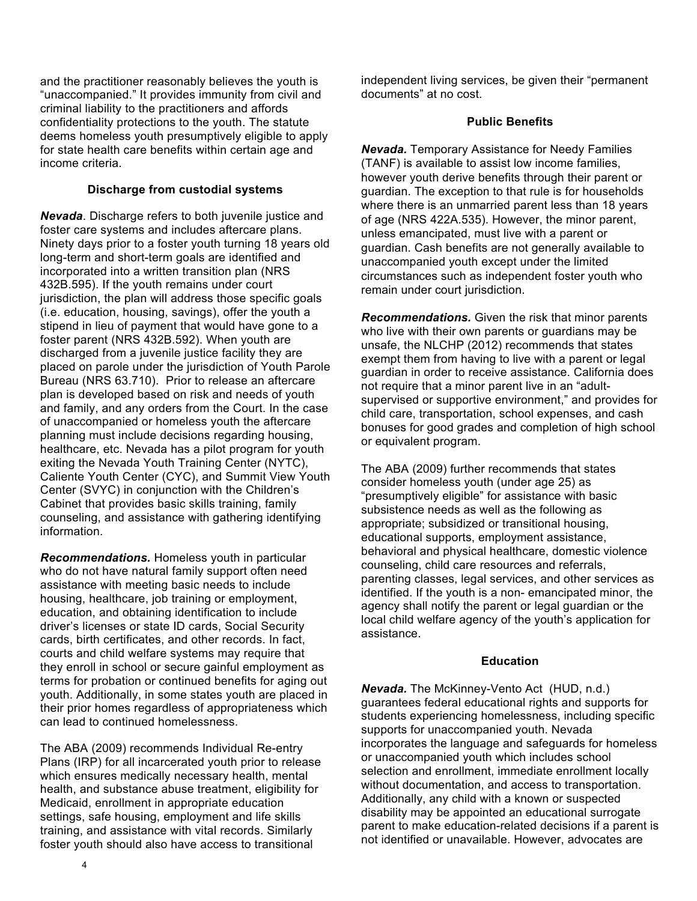and the practitioner reasonably believes the youth is "unaccompanied." It provides immunity from civil and criminal liability to the practitioners and affords confidentiality protections to the youth. The statute deems homeless youth presumptively eligible to apply for state health care benefits within certain age and income criteria.

## **Discharge from custodial systems**

*Nevada*. Discharge refers to both juvenile justice and foster care systems and includes aftercare plans. Ninety days prior to a foster youth turning 18 years old long-term and short-term goals are identified and incorporated into a written transition plan (NRS 432B.595). If the youth remains under court jurisdiction, the plan will address those specific goals (i.e. education, housing, savings), offer the youth a stipend in lieu of payment that would have gone to a foster parent (NRS 432B.592). When youth are discharged from a juvenile justice facility they are placed on parole under the jurisdiction of Youth Parole Bureau (NRS 63.710). Prior to release an aftercare plan is developed based on risk and needs of youth and family, and any orders from the Court. In the case of unaccompanied or homeless youth the aftercare planning must include decisions regarding housing, healthcare, etc. Nevada has a pilot program for youth exiting the Nevada Youth Training Center (NYTC), Caliente Youth Center (CYC), and Summit View Youth Center (SVYC) in conjunction with the Children's Cabinet that provides basic skills training, family counseling, and assistance with gathering identifying information.

*Recommendations.* Homeless youth in particular who do not have natural family support often need assistance with meeting basic needs to include housing, healthcare, job training or employment, education, and obtaining identification to include driver's licenses or state ID cards, Social Security cards, birth certificates, and other records. In fact, courts and child welfare systems may require that they enroll in school or secure gainful employment as terms for probation or continued benefits for aging out youth. Additionally, in some states youth are placed in their prior homes regardless of appropriateness which can lead to continued homelessness.

The ABA (2009) recommends Individual Re-entry Plans (IRP) for all incarcerated youth prior to release which ensures medically necessary health, mental health, and substance abuse treatment, eligibility for Medicaid, enrollment in appropriate education settings, safe housing, employment and life skills training, and assistance with vital records. Similarly foster youth should also have access to transitional

independent living services, be given their "permanent documents" at no cost.

## **Public Benefits**

*Nevada.* Temporary Assistance for Needy Families (TANF) is available to assist low income families, however youth derive benefits through their parent or guardian. The exception to that rule is for households where there is an unmarried parent less than 18 years of age (NRS 422A.535). However, the minor parent, unless emancipated, must live with a parent or guardian. Cash benefits are not generally available to unaccompanied youth except under the limited circumstances such as independent foster youth who remain under court jurisdiction.

*Recommendations.* Given the risk that minor parents who live with their own parents or guardians may be unsafe, the NLCHP (2012) recommends that states exempt them from having to live with a parent or legal guardian in order to receive assistance. California does not require that a minor parent live in an "adultsupervised or supportive environment," and provides for child care, transportation, school expenses, and cash bonuses for good grades and completion of high school or equivalent program.

The ABA (2009) further recommends that states consider homeless youth (under age 25) as "presumptively eligible" for assistance with basic subsistence needs as well as the following as appropriate; subsidized or transitional housing, educational supports, employment assistance, behavioral and physical healthcare, domestic violence counseling, child care resources and referrals, parenting classes, legal services, and other services as identified. If the youth is a non- emancipated minor, the agency shall notify the parent or legal guardian or the local child welfare agency of the youth's application for assistance.

#### **Education**

*Nevada.* The McKinney-Vento Act (HUD, n.d.) guarantees federal educational rights and supports for students experiencing homelessness, including specific supports for unaccompanied youth. Nevada incorporates the language and safeguards for homeless or unaccompanied youth which includes school selection and enrollment, immediate enrollment locally without documentation, and access to transportation. Additionally, any child with a known or suspected disability may be appointed an educational surrogate parent to make education-related decisions if a parent is not identified or unavailable. However, advocates are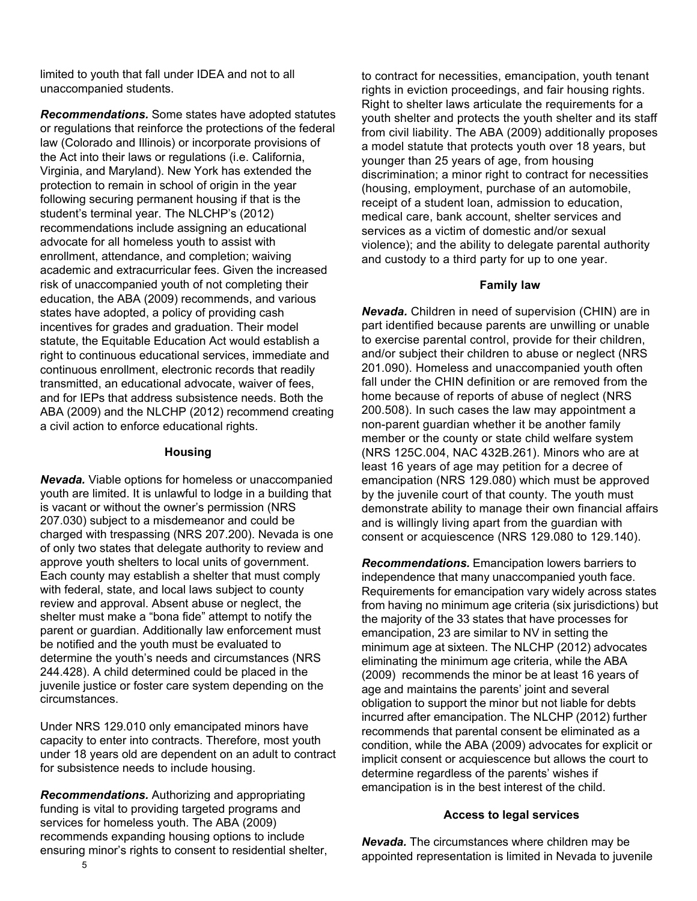limited to youth that fall under IDEA and not to all unaccompanied students.

*Recommendations.* Some states have adopted statutes or regulations that reinforce the protections of the federal law (Colorado and Illinois) or incorporate provisions of the Act into their laws or regulations (i.e. California, Virginia, and Maryland). New York has extended the protection to remain in school of origin in the year following securing permanent housing if that is the student's terminal year. The NLCHP's (2012) recommendations include assigning an educational advocate for all homeless youth to assist with enrollment, attendance, and completion; waiving academic and extracurricular fees. Given the increased risk of unaccompanied youth of not completing their education, the ABA (2009) recommends, and various states have adopted, a policy of providing cash incentives for grades and graduation. Their model statute, the Equitable Education Act would establish a right to continuous educational services, immediate and continuous enrollment, electronic records that readily transmitted, an educational advocate, waiver of fees, and for IEPs that address subsistence needs. Both the ABA (2009) and the NLCHP (2012) recommend creating a civil action to enforce educational rights.

#### **Housing**

*Nevada.* Viable options for homeless or unaccompanied youth are limited. It is unlawful to lodge in a building that is vacant or without the owner's permission (NRS 207.030) subject to a misdemeanor and could be charged with trespassing (NRS 207.200). Nevada is one of only two states that delegate authority to review and approve youth shelters to local units of government. Each county may establish a shelter that must comply with federal, state, and local laws subject to county review and approval. Absent abuse or neglect, the shelter must make a "bona fide" attempt to notify the parent or guardian. Additionally law enforcement must be notified and the youth must be evaluated to determine the youth's needs and circumstances (NRS 244.428). A child determined could be placed in the juvenile justice or foster care system depending on the circumstances.

Under NRS 129.010 only emancipated minors have capacity to enter into contracts. Therefore, most youth under 18 years old are dependent on an adult to contract for subsistence needs to include housing.

*Recommendations.* Authorizing and appropriating funding is vital to providing targeted programs and services for homeless youth. The ABA (2009) recommends expanding housing options to include ensuring minor's rights to consent to residential shelter, to contract for necessities, emancipation, youth tenant rights in eviction proceedings, and fair housing rights. Right to shelter laws articulate the requirements for a youth shelter and protects the youth shelter and its staff from civil liability. The ABA (2009) additionally proposes a model statute that protects youth over 18 years, but younger than 25 years of age, from housing discrimination; a minor right to contract for necessities (housing, employment, purchase of an automobile, receipt of a student loan, admission to education, medical care, bank account, shelter services and services as a victim of domestic and/or sexual violence); and the ability to delegate parental authority and custody to a third party for up to one year.

#### **Family law**

*Nevada.* Children in need of supervision (CHIN) are in part identified because parents are unwilling or unable to exercise parental control, provide for their children, and/or subject their children to abuse or neglect (NRS 201.090). Homeless and unaccompanied youth often fall under the CHIN definition or are removed from the home because of reports of abuse of neglect (NRS 200.508). In such cases the law may appointment a non-parent guardian whether it be another family member or the county or state child welfare system (NRS 125C.004, NAC 432B.261). Minors who are at least 16 years of age may petition for a decree of emancipation (NRS 129.080) which must be approved by the juvenile court of that county. The youth must demonstrate ability to manage their own financial affairs and is willingly living apart from the guardian with consent or acquiescence (NRS 129.080 to 129.140).

*Recommendations.* Emancipation lowers barriers to independence that many unaccompanied youth face. Requirements for emancipation vary widely across states from having no minimum age criteria (six jurisdictions) but the majority of the 33 states that have processes for emancipation, 23 are similar to NV in setting the minimum age at sixteen. The NLCHP (2012) advocates eliminating the minimum age criteria, while the ABA (2009) recommends the minor be at least 16 years of age and maintains the parents' joint and several obligation to support the minor but not liable for debts incurred after emancipation. The NLCHP (2012) further recommends that parental consent be eliminated as a condition, while the ABA (2009) advocates for explicit or implicit consent or acquiescence but allows the court to determine regardless of the parents' wishes if emancipation is in the best interest of the child.

#### **Access to legal services**

*Nevada.* The circumstances where children may be appointed representation is limited in Nevada to juvenile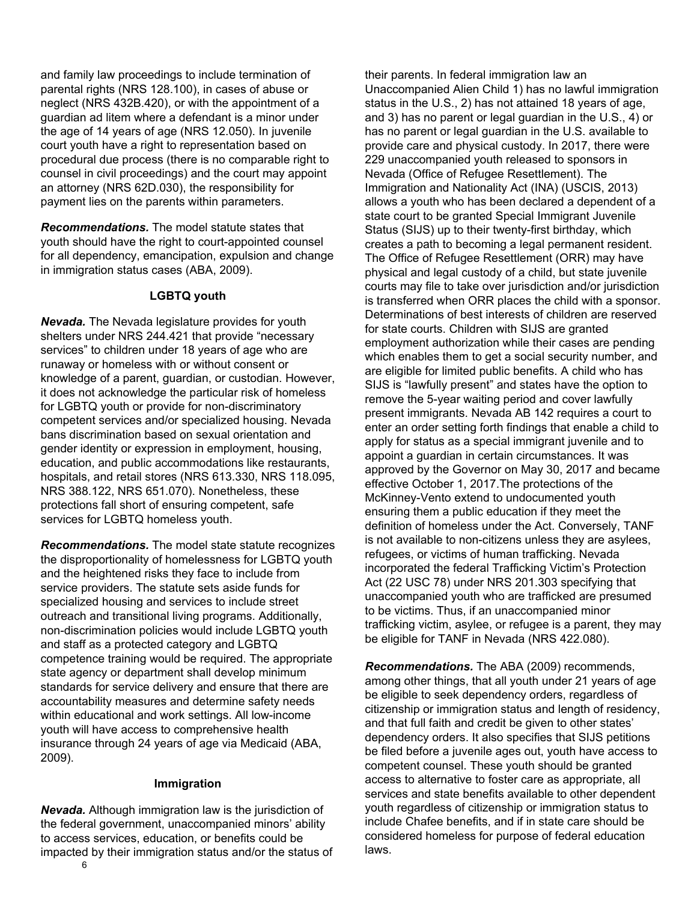and family law proceedings to include termination of parental rights (NRS 128.100), in cases of abuse or neglect (NRS 432B.420), or with the appointment of a guardian ad litem where a defendant is a minor under the age of 14 years of age (NRS 12.050). In juvenile court youth have a right to representation based on procedural due process (there is no comparable right to counsel in civil proceedings) and the court may appoint an attorney (NRS 62D.030), the responsibility for payment lies on the parents within parameters.

*Recommendations.* The model statute states that youth should have the right to court-appointed counsel for all dependency, emancipation, expulsion and change in immigration status cases (ABA, 2009).

#### **LGBTQ youth**

*Nevada.* The Nevada legislature provides for youth shelters under NRS 244.421 that provide "necessary services" to children under 18 years of age who are runaway or homeless with or without consent or knowledge of a parent, guardian, or custodian. However, it does not acknowledge the particular risk of homeless for LGBTQ youth or provide for non-discriminatory competent services and/or specialized housing. Nevada bans discrimination based on sexual orientation and gender identity or expression in employment, housing, education, and public accommodations like restaurants, hospitals, and retail stores (NRS 613.330, NRS 118.095, NRS 388.122, NRS 651.070). Nonetheless, these protections fall short of ensuring competent, safe services for LGBTQ homeless youth.

*Recommendations.* The model state statute recognizes the disproportionality of homelessness for LGBTQ youth and the heightened risks they face to include from service providers. The statute sets aside funds for specialized housing and services to include street outreach and transitional living programs. Additionally, non-discrimination policies would include LGBTQ youth and staff as a protected category and LGBTQ competence training would be required. The appropriate state agency or department shall develop minimum standards for service delivery and ensure that there are accountability measures and determine safety needs within educational and work settings. All low-income youth will have access to comprehensive health insurance through 24 years of age via Medicaid (ABA, 2009).

#### **Immigration**

*Nevada.* Although immigration law is the jurisdiction of the federal government, unaccompanied minors' ability to access services, education, or benefits could be impacted by their immigration status and/or the status of their parents. In federal immigration law an Unaccompanied Alien Child 1) has no lawful immigration status in the U.S., 2) has not attained 18 years of age, and 3) has no parent or legal guardian in the U.S., 4) or has no parent or legal guardian in the U.S. available to provide care and physical custody. In 2017, there were 229 unaccompanied youth released to sponsors in Nevada (Office of Refugee Resettlement). The Immigration and Nationality Act (INA) (USCIS, 2013) allows a youth who has been declared a dependent of a state court to be granted Special Immigrant Juvenile Status (SIJS) up to their twenty-first birthday, which creates a path to becoming a legal permanent resident. The Office of Refugee Resettlement (ORR) may have physical and legal custody of a child, but state juvenile courts may file to take over jurisdiction and/or jurisdiction is transferred when ORR places the child with a sponsor. Determinations of best interests of children are reserved for state courts. Children with SIJS are granted employment authorization while their cases are pending which enables them to get a social security number, and are eligible for limited public benefits. A child who has SIJS is "lawfully present" and states have the option to remove the 5-year waiting period and cover lawfully present immigrants. Nevada AB 142 requires a court to enter an order setting forth findings that enable a child to apply for status as a special immigrant juvenile and to appoint a guardian in certain circumstances. It was approved by the Governor on May 30, 2017 and became effective October 1, 2017.The protections of the McKinney-Vento extend to undocumented youth ensuring them a public education if they meet the definition of homeless under the Act. Conversely, TANF is not available to non-citizens unless they are asylees, refugees, or victims of human trafficking. Nevada incorporated the federal Trafficking Victim's Protection Act (22 USC 78) under NRS 201.303 specifying that unaccompanied youth who are trafficked are presumed to be victims. Thus, if an unaccompanied minor trafficking victim, asylee, or refugee is a parent, they may be eligible for TANF in Nevada (NRS 422.080).

*Recommendations.* The ABA (2009) recommends, among other things, that all youth under 21 years of age be eligible to seek dependency orders, regardless of citizenship or immigration status and length of residency, and that full faith and credit be given to other states' dependency orders. It also specifies that SIJS petitions be filed before a juvenile ages out, youth have access to competent counsel. These youth should be granted access to alternative to foster care as appropriate, all services and state benefits available to other dependent youth regardless of citizenship or immigration status to include Chafee benefits, and if in state care should be considered homeless for purpose of federal education laws.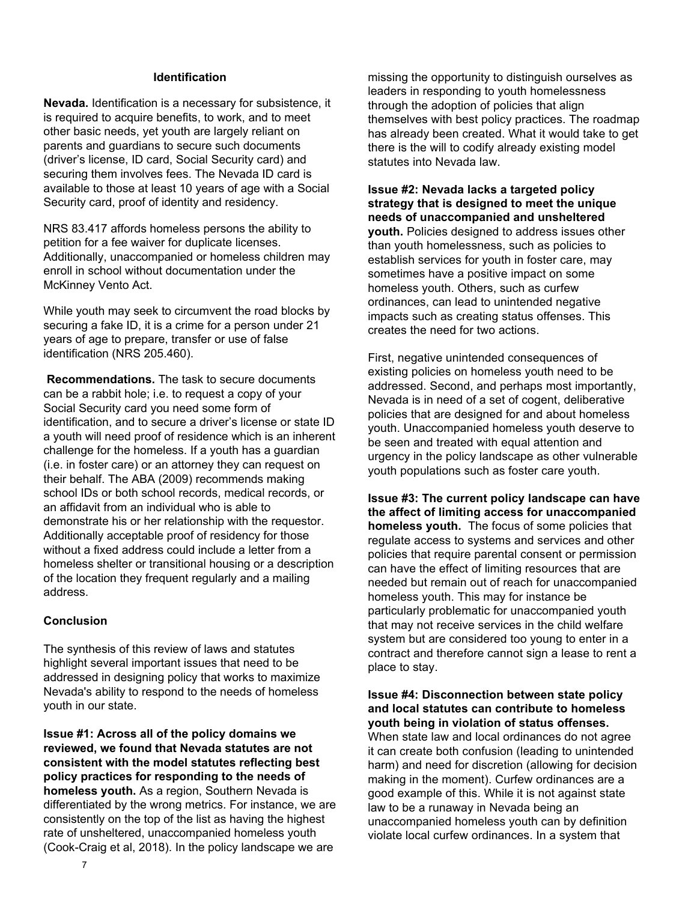#### **Identification**

**Nevada.** Identification is a necessary for subsistence, it is required to acquire benefits, to work, and to meet other basic needs, yet youth are largely reliant on parents and guardians to secure such documents (driver's license, ID card, Social Security card) and securing them involves fees. The Nevada ID card is available to those at least 10 years of age with a Social Security card, proof of identity and residency.

NRS 83.417 affords homeless persons the ability to petition for a fee waiver for duplicate licenses. Additionally, unaccompanied or homeless children may enroll in school without documentation under the McKinney Vento Act.

While youth may seek to circumvent the road blocks by securing a fake ID, it is a crime for a person under 21 years of age to prepare, transfer or use of false identification (NRS 205.460).

 **Recommendations.** The task to secure documents can be a rabbit hole; i.e. to request a copy of your Social Security card you need some form of identification, and to secure a driver's license or state ID a youth will need proof of residence which is an inherent challenge for the homeless. If a youth has a guardian (i.e. in foster care) or an attorney they can request on their behalf. The ABA (2009) recommends making school IDs or both school records, medical records, or an affidavit from an individual who is able to demonstrate his or her relationship with the requestor. Additionally acceptable proof of residency for those without a fixed address could include a letter from a homeless shelter or transitional housing or a description of the location they frequent regularly and a mailing address.

# **Conclusion**

The synthesis of this review of laws and statutes highlight several important issues that need to be addressed in designing policy that works to maximize Nevada's ability to respond to the needs of homeless youth in our state.

**Issue #1: Across all of the policy domains we reviewed, we found that Nevada statutes are not consistent with the model statutes reflecting best policy practices for responding to the needs of homeless youth.** As a region, Southern Nevada is differentiated by the wrong metrics. For instance, we are consistently on the top of the list as having the highest rate of unsheltered, unaccompanied homeless youth (Cook-Craig et al, 2018). In the policy landscape we are

missing the opportunity to distinguish ourselves as leaders in responding to youth homelessness through the adoption of policies that align themselves with best policy practices. The roadmap has already been created. What it would take to get there is the will to codify already existing model statutes into Nevada law.

**Issue #2: Nevada lacks a targeted policy strategy that is designed to meet the unique needs of unaccompanied and unsheltered youth.** Policies designed to address issues other than youth homelessness, such as policies to establish services for youth in foster care, may sometimes have a positive impact on some homeless youth. Others, such as curfew ordinances, can lead to unintended negative impacts such as creating status offenses. This creates the need for two actions.

First, negative unintended consequences of existing policies on homeless youth need to be addressed. Second, and perhaps most importantly, Nevada is in need of a set of cogent, deliberative policies that are designed for and about homeless youth. Unaccompanied homeless youth deserve to be seen and treated with equal attention and urgency in the policy landscape as other vulnerable youth populations such as foster care youth.

**Issue #3: The current policy landscape can have the affect of limiting access for unaccompanied homeless youth.** The focus of some policies that regulate access to systems and services and other policies that require parental consent or permission can have the effect of limiting resources that are needed but remain out of reach for unaccompanied homeless youth. This may for instance be particularly problematic for unaccompanied youth that may not receive services in the child welfare system but are considered too young to enter in a contract and therefore cannot sign a lease to rent a place to stay.

# **Issue #4: Disconnection between state policy and local statutes can contribute to homeless youth being in violation of status offenses.**

When state law and local ordinances do not agree it can create both confusion (leading to unintended harm) and need for discretion (allowing for decision making in the moment). Curfew ordinances are a good example of this. While it is not against state law to be a runaway in Nevada being an unaccompanied homeless youth can by definition violate local curfew ordinances. In a system that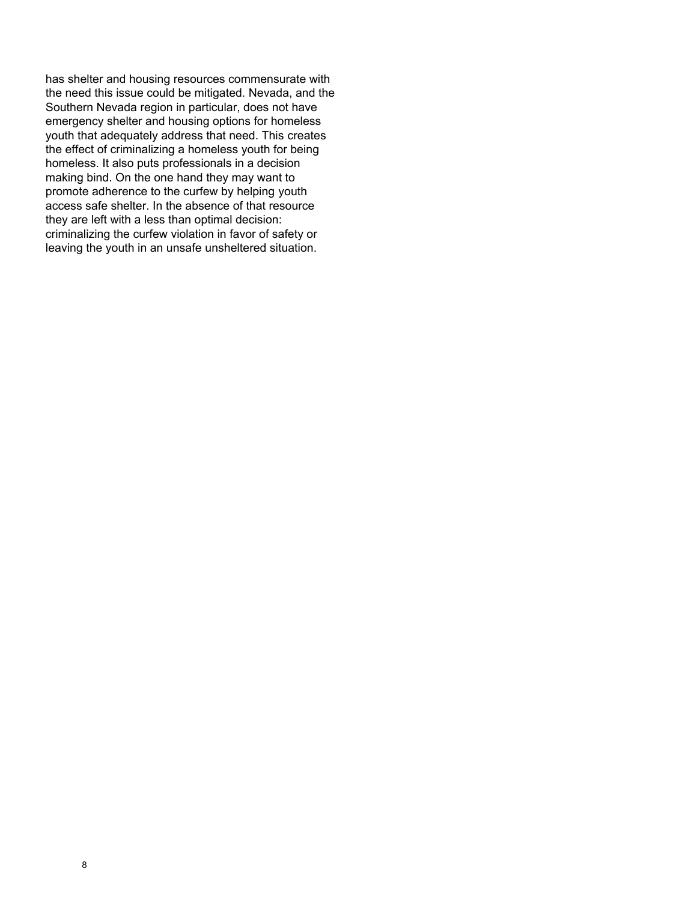has shelter and housing resources commensurate with the need this issue could be mitigated. Nevada, and the Southern Nevada region in particular, does not have emergency shelter and housing options for homeless youth that adequately address that need. This creates the effect of criminalizing a homeless youth for being homeless. It also puts professionals in a decision making bind. On the one hand they may want to promote adherence to the curfew by helping youth access safe shelter. In the absence of that resource they are left with a less than optimal decision: criminalizing the curfew violation in favor of safety or leaving the youth in an unsafe unsheltered situation.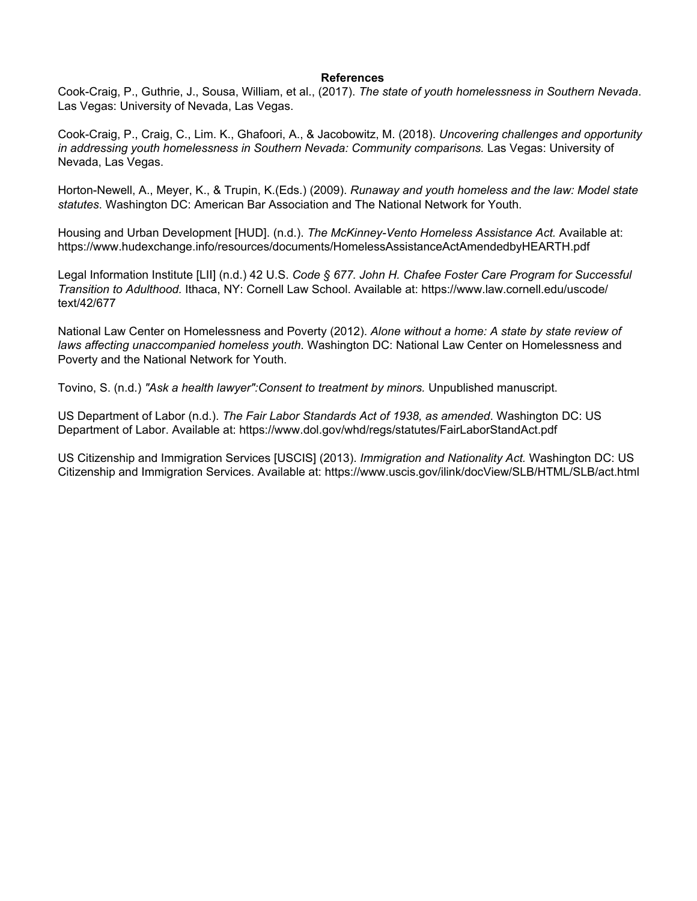#### **References**

Cook-Craig, P., Guthrie, J., Sousa, William, et al., (2017). *The state of youth homelessness in Southern Nevada*. Las Vegas: University of Nevada, Las Vegas.

Cook-Craig, P., Craig, C., Lim. K., Ghafoori, A., & Jacobowitz, M. (2018). *Uncovering challenges and opportunity in addressing youth homelessness in Southern Nevada: Community comparisons.* Las Vegas: University of Nevada, Las Vegas.

Horton-Newell, A., Meyer, K., & Trupin, K.(Eds.) (2009). *Runaway and youth homeless and the law: Model state statutes*. Washington DC: American Bar Association and The National Network for Youth.

Housing and Urban Development [HUD]. (n.d.). *The McKinney-Vento Homeless Assistance Act.* Available at: https://www.hudexchange.info/resources/documents/HomelessAssistanceActAmendedbyHEARTH.pdf

Legal Information Institute [LII] (n.d.) 42 U.S. *Code § 677. John H. Chafee Foster Care Program for Successful Transition to Adulthood.* Ithaca, NY: Cornell Law School. Available at: https://www.law.cornell.edu/uscode/ text/42/677

National Law Center on Homelessness and Poverty (2012). *Alone without a home: A state by state review of laws affecting unaccompanied homeless youth*. Washington DC: National Law Center on Homelessness and Poverty and the National Network for Youth.

Tovino, S. (n.d.) *"Ask a health lawyer":Consent to treatment by minors.* Unpublished manuscript.

US Department of Labor (n.d.). *The Fair Labor Standards Act of 1938, as amended*. Washington DC: US Department of Labor. Available at: https://www.dol.gov/whd/regs/statutes/FairLaborStandAct.pdf

US Citizenship and Immigration Services [USCIS] (2013). *Immigration and Nationality Act.* Washington DC: US Citizenship and Immigration Services. Available at: https://www.uscis.gov/ilink/docView/SLB/HTML/SLB/act.html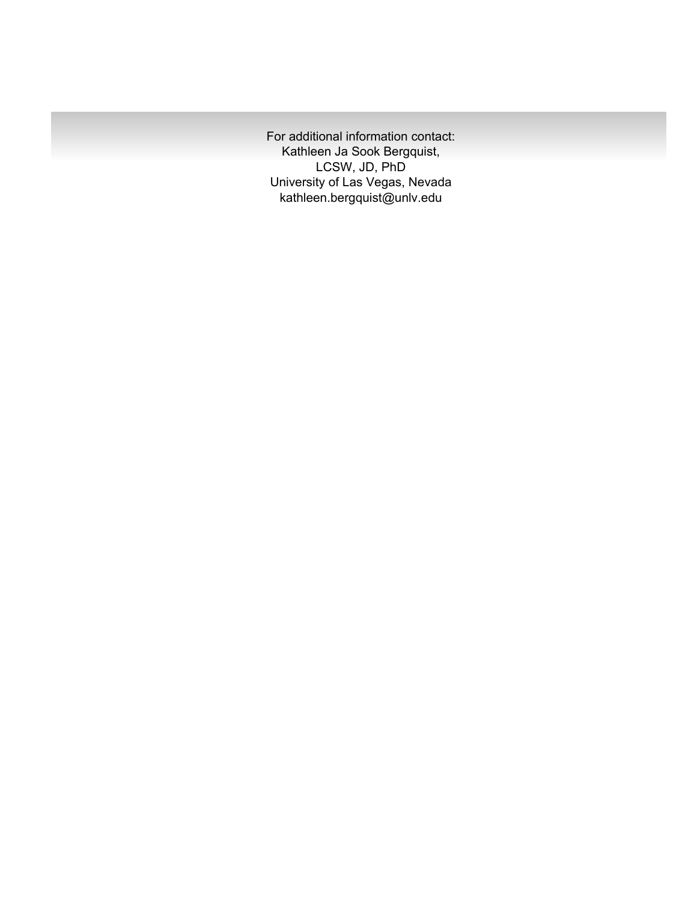For additional information contact: Kathleen Ja Sook Bergquist, LCSW, JD, PhD University of Las Vegas, Nevada kathleen.bergquist@unlv.edu